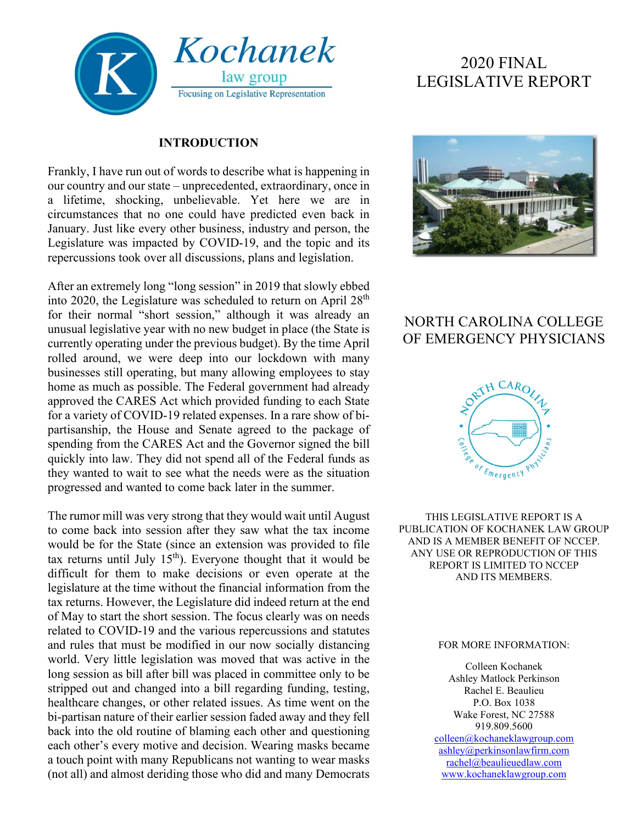

#### **INTRODUCTION**

Frankly, I have run out of words to describe what is happening in our country and our state – unprecedented, extraordinary, once in a lifetime, shocking, unbelievable. Yet here we are in circumstances that no one could have predicted even back in January. Just like every other business, industry and person, the Legislature was impacted by COVID-19, and the topic and its repercussions took over all discussions, plans and legislation.

After an extremely long "long session" in 2019 that slowly ebbed into 2020, the Legislature was scheduled to return on April 28<sup>th</sup> for their normal "short session," although it was already an unusual legislative year with no new budget in place (the State is currently operating under the previous budget). By the time April rolled around, we were deep into our lockdown with many businesses still operating, but many allowing employees to stay home as much as possible. The Federal government had already approved the CARES Act which provided funding to each State for a variety of COVID-19 related expenses. In a rare show of bipartisanship, the House and Senate agreed to the package of spending from the CARES Act and the Governor signed the bill quickly into law. They did not spend all of the Federal funds as they wanted to wait to see what the needs were as the situation progressed and wanted to come back later in the summer.

The rumor mill was very strong that they would wait until August to come back into session after they saw what the tax income would be for the State (since an extension was provided to file tax returns until July  $15<sup>th</sup>$ ). Everyone thought that it would be difficult for them to make decisions or even operate at the legislature at the time without the financial information from the tax returns. However, the Legislature did indeed return at the end of May to start the short session. The focus clearly was on needs related to COVID-19 and the various repercussions and statutes and rules that must be modified in our now socially distancing world. Very little legislation was moved that was active in the long session as bill after bill was placed in committee only to be stripped out and changed into a bill regarding funding, testing, healthcare changes, or other related issues. As time went on the bi-partisan nature of their earlier session faded away and they fell back into the old routine of blaming each other and questioning each other's every motive and decision. Wearing masks became a touch point with many Republicans not wanting to wear masks (not all) and almost deriding those who did and many Democrats

# 2020 FINAL LEGISLATIVE REPORT



## NORTH CAROLINA COLLEGE OF EMERGENCY PHYSICIANS



THIS LEGISLATIVE REPORT IS A PUBLICATION OF KOCHANEK LAW GROUP AND IS A MEMBER BENEFIT OF NCCEP. ANY USE OR REPRODUCTION OF THIS REPORT IS LIMITED TO NCCEP AND ITS MEMBERS.

#### FOR MORE INFORMATION:

Colleen Kochanek Ashley Matlock Perkinson Rachel E. Beaulieu P.O. Box 1038 Wake Forest, NC 27588 919.809.5600 [colleen@kochaneklawgroup.com](mailto:colleen@kochaneklawgroup.com)

[ashley@perkinsonlawfirm.com](mailto:ashley@perkinsonlawfirm.com) [rachel@beaulieuedlaw.com](mailto:rachel@beaulieuedlaw.com) [www.kochaneklawgroup.com](http://www.kochaneklawgroup.com/)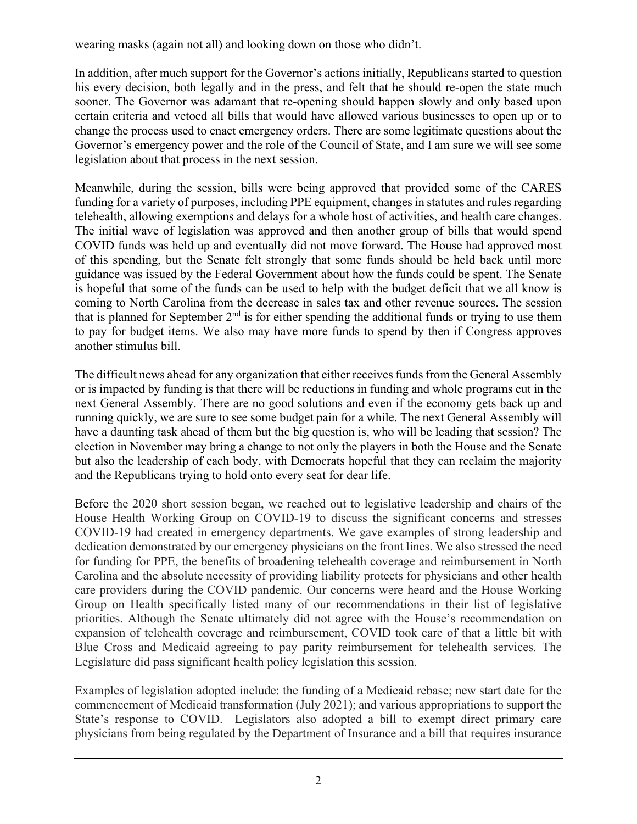wearing masks (again not all) and looking down on those who didn't.

In addition, after much support for the Governor's actions initially, Republicans started to question his every decision, both legally and in the press, and felt that he should re-open the state much sooner. The Governor was adamant that re-opening should happen slowly and only based upon certain criteria and vetoed all bills that would have allowed various businesses to open up or to change the process used to enact emergency orders. There are some legitimate questions about the Governor's emergency power and the role of the Council of State, and I am sure we will see some legislation about that process in the next session.

Meanwhile, during the session, bills were being approved that provided some of the CARES funding for a variety of purposes, including PPE equipment, changes in statutes and rules regarding telehealth, allowing exemptions and delays for a whole host of activities, and health care changes. The initial wave of legislation was approved and then another group of bills that would spend COVID funds was held up and eventually did not move forward. The House had approved most of this spending, but the Senate felt strongly that some funds should be held back until more guidance was issued by the Federal Government about how the funds could be spent. The Senate is hopeful that some of the funds can be used to help with the budget deficit that we all know is coming to North Carolina from the decrease in sales tax and other revenue sources. The session that is planned for September  $2<sup>nd</sup>$  is for either spending the additional funds or trying to use them to pay for budget items. We also may have more funds to spend by then if Congress approves another stimulus bill.

The difficult news ahead for any organization that either receives funds from the General Assembly or is impacted by funding is that there will be reductions in funding and whole programs cut in the next General Assembly. There are no good solutions and even if the economy gets back up and running quickly, we are sure to see some budget pain for a while. The next General Assembly will have a daunting task ahead of them but the big question is, who will be leading that session? The election in November may bring a change to not only the players in both the House and the Senate but also the leadership of each body, with Democrats hopeful that they can reclaim the majority and the Republicans trying to hold onto every seat for dear life.

Before the 2020 short session began, we reached out to legislative leadership and chairs of the House Health Working Group on COVID-19 to discuss the significant concerns and stresses COVID-19 had created in emergency departments. We gave examples of strong leadership and dedication demonstrated by our emergency physicians on the front lines. We also stressed the need for funding for PPE, the benefits of broadening telehealth coverage and reimbursement in North Carolina and the absolute necessity of providing liability protects for physicians and other health care providers during the COVID pandemic. Our concerns were heard and the House Working Group on Health specifically listed many of our recommendations in their list of legislative priorities. Although the Senate ultimately did not agree with the House's recommendation on expansion of telehealth coverage and reimbursement, COVID took care of that a little bit with Blue Cross and Medicaid agreeing to pay parity reimbursement for telehealth services. The Legislature did pass significant health policy legislation this session.

Examples of legislation adopted include: the funding of a Medicaid rebase; new start date for the commencement of Medicaid transformation (July 2021); and various appropriations to support the State's response to COVID. Legislators also adopted a bill to exempt direct primary care physicians from being regulated by the Department of Insurance and a bill that requires insurance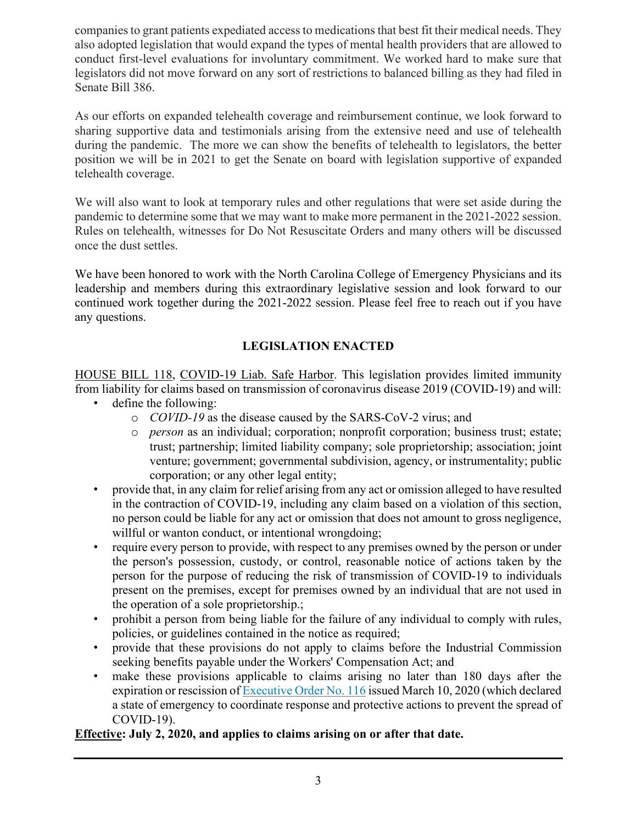companies to grant patients expediated access to medications that best fit their medical needs. They also adopted legislation that would expand the types of mental health providers that are allowed to conduct first-level evaluations for involuntary commitment. We worked hard to make sure that legislators did not move forward on any sort of restrictions to balanced billing as they had filed in Senate Bill 386.

As our efforts on expanded telehealth coverage and reimbursement continue, we look forward to sharing supportive data and testimonials arising from the extensive need and use of telehealth during the pandemic. The more we can show the benefits of telehealth to legislators, the better position we will be in 2021 to get the Senate on board with legislation supportive of expanded telehealth coverage.

We will also want to look at temporary rules and other regulations that were set aside during the pandemic to determine some that we may want to make more permanent in the 2021-2022 session. Rules on telehealth, witnesses for Do Not Resuscitate Orders and many others will be discussed once the dust settles.

We have been honored to work with the North Carolina College of Emergency Physicians and its leadership and members during this extraordinary legislative session and look forward to our continued work together during the 2021-2022 session. Please feel free to reach out if you have any questions.

### **LEGISLATION ENACTED**

HOUSE BILL 118, COVID-19 Liab. Safe Harbor. This legislation provides limited immunity from liability for claims based on transmission of coronavirus disease 2019 (COVID-19) and will:

- define the following:
	- o *COVID-19* as the disease caused by the SARS-CoV-2 virus; and
	- o *person* as an individual; corporation; nonprofit corporation; business trust; estate; trust; partnership; limited liability company; sole proprietorship; association; joint venture; government; governmental subdivision, agency, or instrumentality; public corporation; or any other legal entity;
- provide that, in any claim for relief arising from any act or omission alleged to have resulted in the contraction of COVID-19, including any claim based on a violation of this section, no person could be liable for any act or omission that does not amount to gross negligence, willful or wanton conduct, or intentional wrongdoing;
- require every person to provide, with respect to any premises owned by the person or under the person's possession, custody, or control, reasonable notice of actions taken by the person for the purpose of reducing the risk of transmission of COVID-19 to individuals present on the premises, except for premises owned by an individual that are not used in the operation of a sole proprietorship.;
- prohibit a person from being liable for the failure of any individual to comply with rules, policies, or guidelines contained in the notice as required;
- provide that these provisions do not apply to claims before the Industrial Commission seeking benefits payable under the Workers' Compensation Act; and
- make these provisions applicable to claims arising no later than 180 days after the expiration or rescission of [Executive Order No. 116](https://files.nc.gov/governor/documents/files/EO116-SOE-COVID-19.pdf) issued March 10, 2020 (which declared a state of emergency to coordinate response and protective actions to prevent the spread of COVID-19).

### **Effective: July 2, 2020, and applies to claims arising on or after that date.**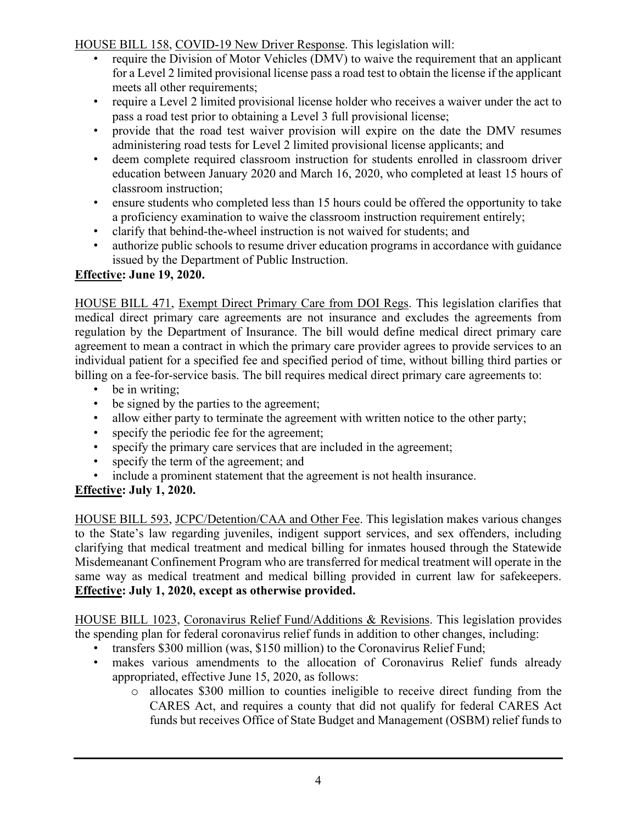HOUSE BILL 158, COVID-19 New Driver Response. This legislation will:

- require the Division of Motor Vehicles (DMV) to waive the requirement that an applicant for a Level 2 limited provisional license pass a road test to obtain the license if the applicant meets all other requirements;
- require a Level 2 limited provisional license holder who receives a waiver under the act to pass a road test prior to obtaining a Level 3 full provisional license;
- provide that the road test waiver provision will expire on the date the DMV resumes administering road tests for Level 2 limited provisional license applicants; and
- deem complete required classroom instruction for students enrolled in classroom driver education between January 2020 and March 16, 2020, who completed at least 15 hours of classroom instruction;
- ensure students who completed less than 15 hours could be offered the opportunity to take a proficiency examination to waive the classroom instruction requirement entirely;
- clarify that behind-the-wheel instruction is not waived for students; and
- authorize public schools to resume driver education programs in accordance with guidance issued by the Department of Public Instruction.

### **Effective: June 19, 2020.**

HOUSE BILL 471, Exempt Direct Primary Care from DOI Regs. This legislation clarifies that medical direct primary care agreements are not insurance and excludes the agreements from regulation by the Department of Insurance. The bill would define medical direct primary care agreement to mean a contract in which the primary care provider agrees to provide services to an individual patient for a specified fee and specified period of time, without billing third parties or billing on a fee-for-service basis. The bill requires medical direct primary care agreements to:

- be in writing;
- be signed by the parties to the agreement;
- allow either party to terminate the agreement with written notice to the other party;
- specify the periodic fee for the agreement;
- specify the primary care services that are included in the agreement;
- specify the term of the agreement; and
- include a prominent statement that the agreement is not health insurance.

### **Effective: July 1, 2020.**

HOUSE BILL 593, JCPC/Detention/CAA and Other Fee. This legislation makes various changes to the State's law regarding juveniles, indigent support services, and sex offenders, including clarifying that medical treatment and medical billing for inmates housed through the Statewide Misdemeanant Confinement Program who are transferred for medical treatment will operate in the same way as medical treatment and medical billing provided in current law for safekeepers. **Effective: July 1, 2020, except as otherwise provided.**

HOUSE BILL 1023, Coronavirus Relief Fund/Additions & Revisions. This legislation provides the spending plan for federal coronavirus relief funds in addition to other changes, including:

- transfers \$300 million (was, \$150 million) to the Coronavirus Relief Fund;
- makes various amendments to the allocation of Coronavirus Relief funds already appropriated, effective June 15, 2020, as follows:
	- o allocates \$300 million to counties ineligible to receive direct funding from the CARES Act, and requires a county that did not qualify for federal CARES Act funds but receives Office of State Budget and Management (OSBM) relief funds to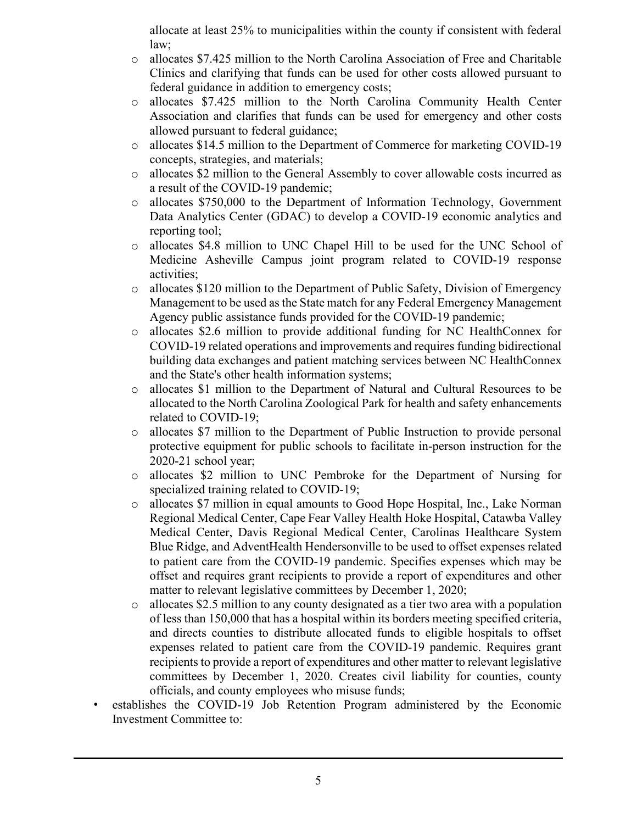allocate at least 25% to municipalities within the county if consistent with federal law;

- o allocates \$7.425 million to the North Carolina Association of Free and Charitable Clinics and clarifying that funds can be used for other costs allowed pursuant to federal guidance in addition to emergency costs;
- o allocates \$7.425 million to the North Carolina Community Health Center Association and clarifies that funds can be used for emergency and other costs allowed pursuant to federal guidance;
- o allocates \$14.5 million to the Department of Commerce for marketing COVID-19 concepts, strategies, and materials;
- o allocates \$2 million to the General Assembly to cover allowable costs incurred as a result of the COVID-19 pandemic;
- o allocates \$750,000 to the Department of Information Technology, Government Data Analytics Center (GDAC) to develop a COVID-19 economic analytics and reporting tool;
- o allocates \$4.8 million to UNC Chapel Hill to be used for the UNC School of Medicine Asheville Campus joint program related to COVID-19 response activities;
- $\circ$  allocates \$120 million to the Department of Public Safety, Division of Emergency Management to be used as the State match for any Federal Emergency Management Agency public assistance funds provided for the COVID-19 pandemic;
- o allocates \$2.6 million to provide additional funding for NC HealthConnex for COVID-19 related operations and improvements and requires funding bidirectional building data exchanges and patient matching services between NC HealthConnex and the State's other health information systems;
- o allocates \$1 million to the Department of Natural and Cultural Resources to be allocated to the North Carolina Zoological Park for health and safety enhancements related to COVID-19;
- o allocates \$7 million to the Department of Public Instruction to provide personal protective equipment for public schools to facilitate in-person instruction for the 2020-21 school year;
- o allocates \$2 million to UNC Pembroke for the Department of Nursing for specialized training related to COVID-19;
- o allocates \$7 million in equal amounts to Good Hope Hospital, Inc., Lake Norman Regional Medical Center, Cape Fear Valley Health Hoke Hospital, Catawba Valley Medical Center, Davis Regional Medical Center, Carolinas Healthcare System Blue Ridge, and AdventHealth Hendersonville to be used to offset expenses related to patient care from the COVID-19 pandemic. Specifies expenses which may be offset and requires grant recipients to provide a report of expenditures and other matter to relevant legislative committees by December 1, 2020;
- $\circ$  allocates \$2.5 million to any county designated as a tier two area with a population of less than 150,000 that has a hospital within its borders meeting specified criteria, and directs counties to distribute allocated funds to eligible hospitals to offset expenses related to patient care from the COVID-19 pandemic. Requires grant recipients to provide a report of expenditures and other matter to relevant legislative committees by December 1, 2020. Creates civil liability for counties, county officials, and county employees who misuse funds;
- establishes the COVID-19 Job Retention Program administered by the Economic Investment Committee to: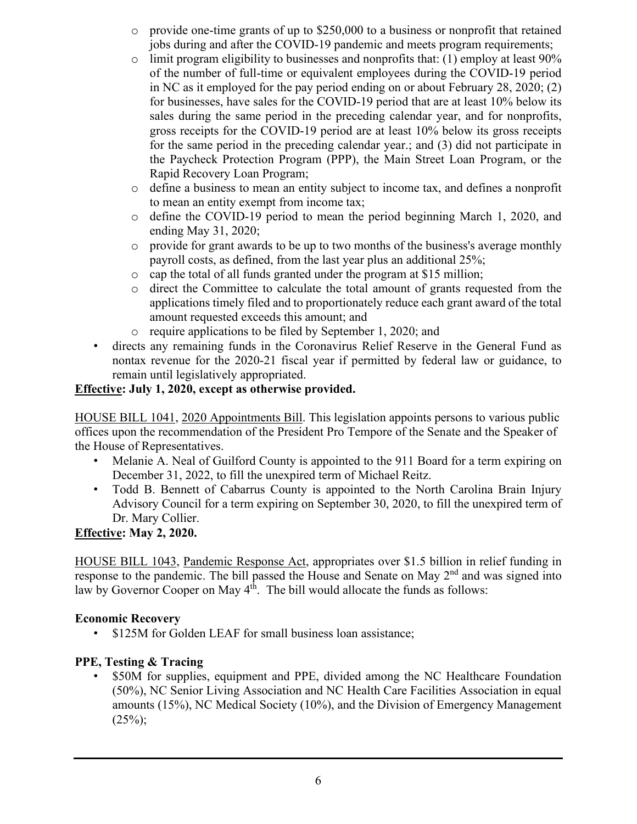- $\circ$  provide one-time grants of up to \$250,000 to a business or nonprofit that retained jobs during and after the COVID-19 pandemic and meets program requirements;
- $\circ$  limit program eligibility to businesses and nonprofits that: (1) employ at least 90% of the number of full-time or equivalent employees during the COVID-19 period in NC as it employed for the pay period ending on or about February 28, 2020; (2) for businesses, have sales for the COVID-19 period that are at least 10% below its sales during the same period in the preceding calendar year, and for nonprofits, gross receipts for the COVID-19 period are at least 10% below its gross receipts for the same period in the preceding calendar year.; and (3) did not participate in the Paycheck Protection Program (PPP), the Main Street Loan Program, or the Rapid Recovery Loan Program;
- o define a business to mean an entity subject to income tax, and defines a nonprofit to mean an entity exempt from income tax;
- o define the COVID-19 period to mean the period beginning March 1, 2020, and ending May 31, 2020;
- $\circ$  provide for grant awards to be up to two months of the business's average monthly payroll costs, as defined, from the last year plus an additional 25%;
- o cap the total of all funds granted under the program at \$15 million;
- o direct the Committee to calculate the total amount of grants requested from the applications timely filed and to proportionately reduce each grant award of the total amount requested exceeds this amount; and
- o require applications to be filed by September 1, 2020; and
- directs any remaining funds in the Coronavirus Relief Reserve in the General Fund as nontax revenue for the 2020-21 fiscal year if permitted by federal law or guidance, to remain until legislatively appropriated.

### **Effective: July 1, 2020, except as otherwise provided.**

HOUSE BILL 1041, 2020 Appointments Bill. This legislation appoints persons to various public offices upon the recommendation of the President Pro Tempore of the Senate and the Speaker of the House of Representatives.

- Melanie A. Neal of Guilford County is appointed to the 911 Board for a term expiring on December 31, 2022, to fill the unexpired term of Michael Reitz.
- Todd B. Bennett of Cabarrus County is appointed to the North Carolina Brain Injury Advisory Council for a term expiring on September 30, 2020, to fill the unexpired term of Dr. Mary Collier.

### **Effective: May 2, 2020.**

HOUSE BILL 1043, Pandemic Response Act, appropriates over \$1.5 billion in relief funding in response to the pandemic. The bill passed the House and Senate on May  $2<sup>nd</sup>$  and was signed into law by Governor Cooper on May 4<sup>th</sup>. The bill would allocate the funds as follows:

### **Economic Recovery**

• \$125M for Golden LEAF for small business loan assistance;

### **PPE, Testing & Tracing**

\$50M for supplies, equipment and PPE, divided among the NC Healthcare Foundation (50%), NC Senior Living Association and NC Health Care Facilities Association in equal amounts (15%), NC Medical Society (10%), and the Division of Emergency Management  $(25\%)$ ;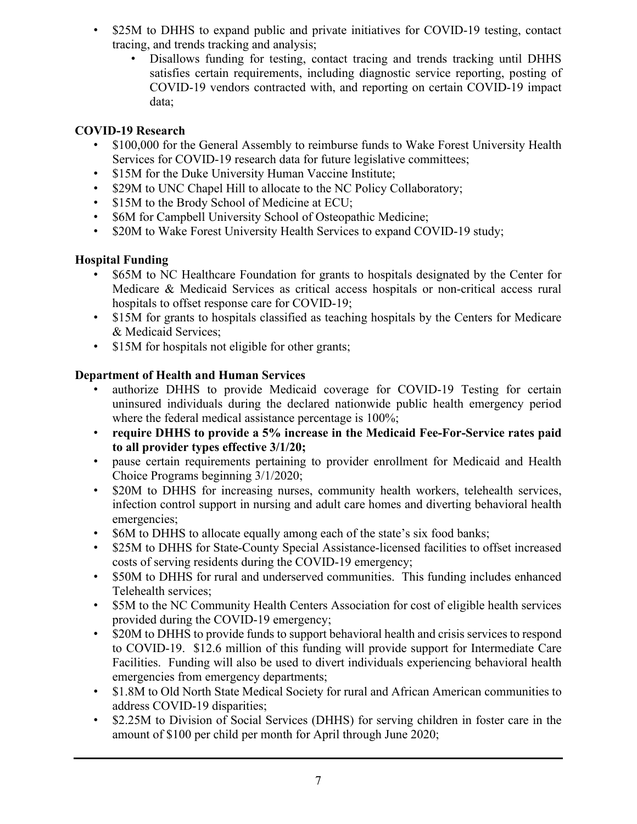- \$25M to DHHS to expand public and private initiatives for COVID-19 testing, contact tracing, and trends tracking and analysis;
	- Disallows funding for testing, contact tracing and trends tracking until DHHS satisfies certain requirements, including diagnostic service reporting, posting of COVID-19 vendors contracted with, and reporting on certain COVID-19 impact data;

### **COVID-19 Research**

- \$100,000 for the General Assembly to reimburse funds to Wake Forest University Health Services for COVID-19 research data for future legislative committees;
- \$15M for the Duke University Human Vaccine Institute;
- \$29M to UNC Chapel Hill to allocate to the NC Policy Collaboratory;
- \$15M to the Brody School of Medicine at ECU;
- \$6M for Campbell University School of Osteopathic Medicine;
- \$20M to Wake Forest University Health Services to expand COVID-19 study;

### **Hospital Funding**

- \$65M to NC Healthcare Foundation for grants to hospitals designated by the Center for Medicare & Medicaid Services as critical access hospitals or non-critical access rural hospitals to offset response care for COVID-19;
- \$15M for grants to hospitals classified as teaching hospitals by the Centers for Medicare & Medicaid Services;
- \$15M for hospitals not eligible for other grants;

### **Department of Health and Human Services**

- authorize DHHS to provide Medicaid coverage for COVID-19 Testing for certain uninsured individuals during the declared nationwide public health emergency period where the federal medical assistance percentage is  $100\%$ ;
- **require DHHS to provide a 5% increase in the Medicaid Fee-For-Service rates paid to all provider types effective 3/1/20;**
- pause certain requirements pertaining to provider enrollment for Medicaid and Health Choice Programs beginning 3/1/2020;
- \$20M to DHHS for increasing nurses, community health workers, telehealth services, infection control support in nursing and adult care homes and diverting behavioral health emergencies;
- \$6M to DHHS to allocate equally among each of the state's six food banks;
- \$25M to DHHS for State-County Special Assistance-licensed facilities to offset increased costs of serving residents during the COVID-19 emergency;
- \$50M to DHHS for rural and underserved communities. This funding includes enhanced Telehealth services;
- \$5M to the NC Community Health Centers Association for cost of eligible health services provided during the COVID-19 emergency;
- \$20M to DHHS to provide funds to support behavioral health and crisis services to respond to COVID-19. \$12.6 million of this funding will provide support for Intermediate Care Facilities. Funding will also be used to divert individuals experiencing behavioral health emergencies from emergency departments;
- \$1.8M to Old North State Medical Society for rural and African American communities to address COVID-19 disparities;
- \$2.25M to Division of Social Services (DHHS) for serving children in foster care in the amount of \$100 per child per month for April through June 2020;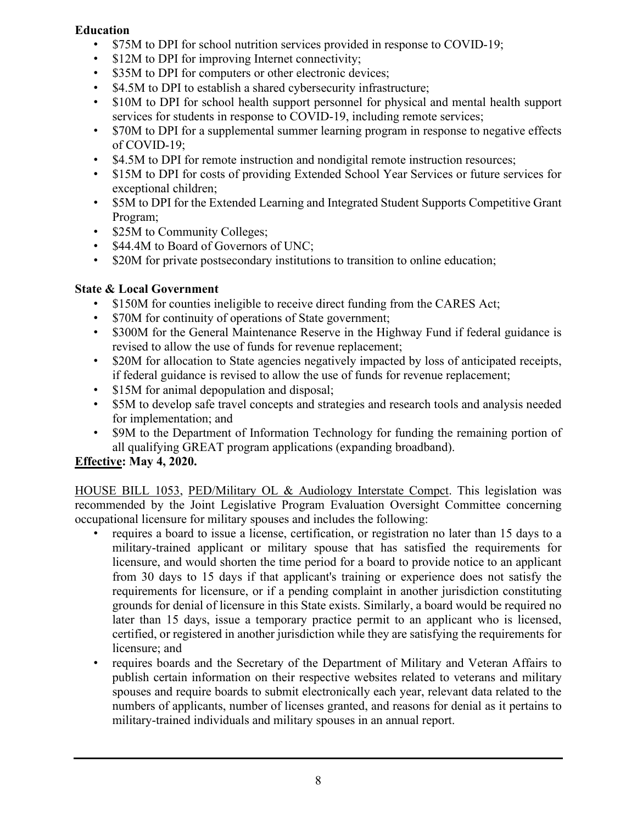### **Education**

- \$75M to DPI for school nutrition services provided in response to COVID-19;
- \$12M to DPI for improving Internet connectivity;
- \$35M to DPI for computers or other electronic devices;
- \$4.5M to DPI to establish a shared cybersecurity infrastructure;
- \$10M to DPI for school health support personnel for physical and mental health support services for students in response to COVID-19, including remote services;
- \$70M to DPI for a supplemental summer learning program in response to negative effects of COVID-19;
- \$4.5M to DPI for remote instruction and nondigital remote instruction resources;
- \$15M to DPI for costs of providing Extended School Year Services or future services for exceptional children;
- \$5M to DPI for the Extended Learning and Integrated Student Supports Competitive Grant Program;
- \$25M to Community Colleges;
- \$44.4M to Board of Governors of UNC;
- \$20M for private postsecondary institutions to transition to online education;

### **State & Local Government**

- \$150M for counties ineligible to receive direct funding from the CARES Act;
- \$70M for continuity of operations of State government;
- \$300M for the General Maintenance Reserve in the Highway Fund if federal guidance is revised to allow the use of funds for revenue replacement;
- \$20M for allocation to State agencies negatively impacted by loss of anticipated receipts, if federal guidance is revised to allow the use of funds for revenue replacement;
- \$15M for animal depopulation and disposal;
- \$5M to develop safe travel concepts and strategies and research tools and analysis needed for implementation; and
- \$9M to the Department of Information Technology for funding the remaining portion of all qualifying GREAT program applications (expanding broadband).

### **Effective: May 4, 2020.**

HOUSE BILL 1053, PED/Military OL & Audiology Interstate Compct. This legislation was recommended by the Joint Legislative Program Evaluation Oversight Committee concerning occupational licensure for military spouses and includes the following:

- requires a board to issue a license, certification, or registration no later than 15 days to a military-trained applicant or military spouse that has satisfied the requirements for licensure, and would shorten the time period for a board to provide notice to an applicant from 30 days to 15 days if that applicant's training or experience does not satisfy the requirements for licensure, or if a pending complaint in another jurisdiction constituting grounds for denial of licensure in this State exists. Similarly, a board would be required no later than 15 days, issue a temporary practice permit to an applicant who is licensed, certified, or registered in another jurisdiction while they are satisfying the requirements for licensure; and
- requires boards and the Secretary of the Department of Military and Veteran Affairs to publish certain information on their respective websites related to veterans and military spouses and require boards to submit electronically each year, relevant data related to the numbers of applicants, number of licenses granted, and reasons for denial as it pertains to military-trained individuals and military spouses in an annual report.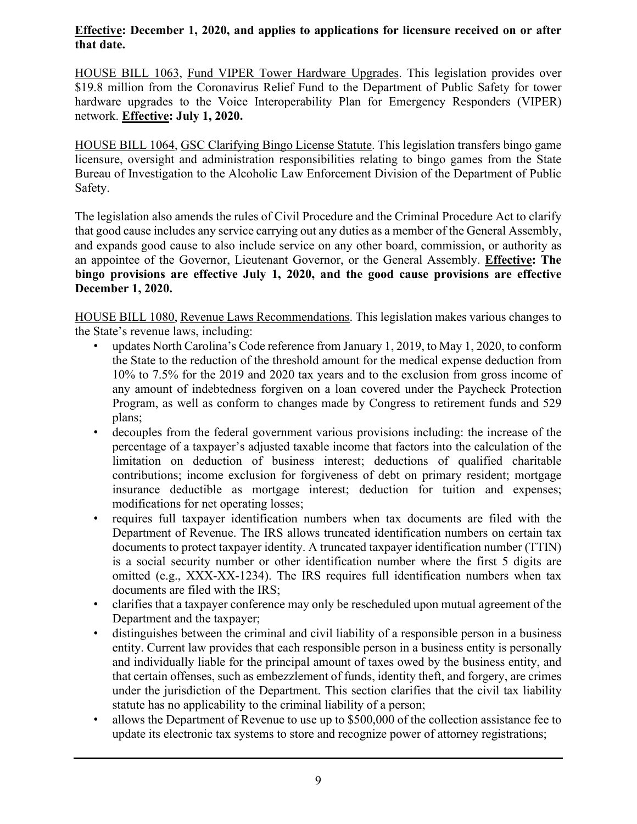### **Effective: December 1, 2020, and applies to applications for licensure received on or after that date.**

HOUSE BILL 1063, Fund VIPER Tower Hardware Upgrades. This legislation provides over \$19.8 million from the Coronavirus Relief Fund to the Department of Public Safety for tower hardware upgrades to the Voice Interoperability Plan for Emergency Responders (VIPER) network. **Effective: July 1, 2020.**

HOUSE BILL 1064, GSC Clarifying Bingo License Statute. This legislation transfers bingo game licensure, oversight and administration responsibilities relating to bingo games from the State Bureau of Investigation to the Alcoholic Law Enforcement Division of the Department of Public Safety.

The legislation also amends the rules of Civil Procedure and the Criminal Procedure Act to clarify that good cause includes any service carrying out any duties as a member of the General Assembly, and expands good cause to also include service on any other board, commission, or authority as an appointee of the Governor, Lieutenant Governor, or the General Assembly. **Effective: The bingo provisions are effective July 1, 2020, and the good cause provisions are effective December 1, 2020.**

HOUSE BILL 1080, Revenue Laws Recommendations. This legislation makes various changes to the State's revenue laws, including:

- updates North Carolina's Code reference from January 1, 2019, to May 1, 2020, to conform the State to the reduction of the threshold amount for the medical expense deduction from 10% to 7.5% for the 2019 and 2020 tax years and to the exclusion from gross income of any amount of indebtedness forgiven on a loan covered under the Paycheck Protection Program, as well as conform to changes made by Congress to retirement funds and 529 plans;
- decouples from the federal government various provisions including: the increase of the percentage of a taxpayer's adjusted taxable income that factors into the calculation of the limitation on deduction of business interest; deductions of qualified charitable contributions; income exclusion for forgiveness of debt on primary resident; mortgage insurance deductible as mortgage interest; deduction for tuition and expenses; modifications for net operating losses;
- requires full taxpayer identification numbers when tax documents are filed with the Department of Revenue. The IRS allows truncated identification numbers on certain tax documents to protect taxpayer identity. A truncated taxpayer identification number (TTIN) is a social security number or other identification number where the first 5 digits are omitted (e.g., XXX-XX-1234). The IRS requires full identification numbers when tax documents are filed with the IRS;
- clarifies that a taxpayer conference may only be rescheduled upon mutual agreement of the Department and the taxpayer;
- distinguishes between the criminal and civil liability of a responsible person in a business entity. Current law provides that each responsible person in a business entity is personally and individually liable for the principal amount of taxes owed by the business entity, and that certain offenses, such as embezzlement of funds, identity theft, and forgery, are crimes under the jurisdiction of the Department. This section clarifies that the civil tax liability statute has no applicability to the criminal liability of a person;
- allows the Department of Revenue to use up to \$500,000 of the collection assistance fee to update its electronic tax systems to store and recognize power of attorney registrations;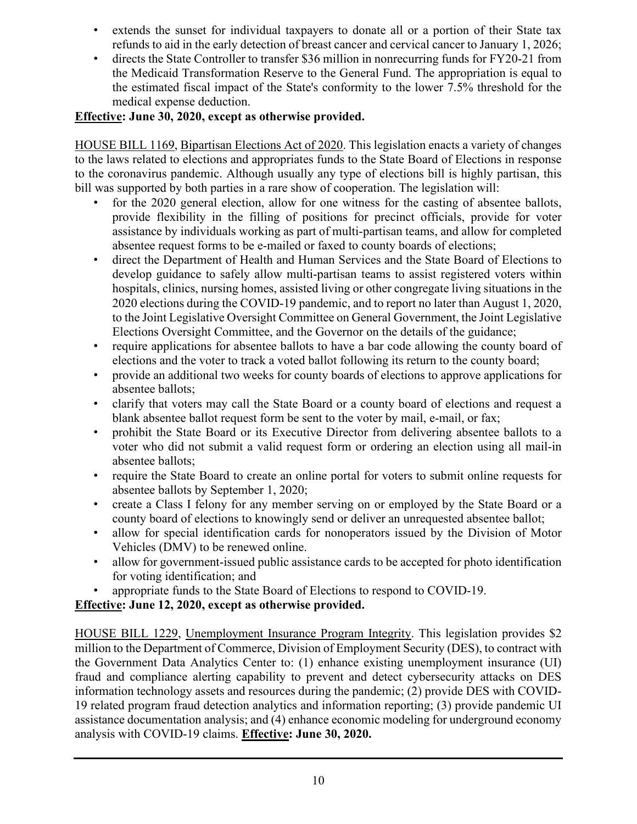- extends the sunset for individual taxpayers to donate all or a portion of their State tax refunds to aid in the early detection of breast cancer and cervical cancer to January 1, 2026;
- directs the State Controller to transfer \$36 million in nonrecurring funds for FY20-21 from the Medicaid Transformation Reserve to the General Fund. The appropriation is equal to the estimated fiscal impact of the State's conformity to the lower 7.5% threshold for the medical expense deduction.

### **Effective: June 30, 2020, except as otherwise provided.**

HOUSE BILL 1169, Bipartisan Elections Act of 2020. This legislation enacts a variety of changes to the laws related to elections and appropriates funds to the State Board of Elections in response to the coronavirus pandemic. Although usually any type of elections bill is highly partisan, this bill was supported by both parties in a rare show of cooperation. The legislation will:

- for the 2020 general election, allow for one witness for the casting of absentee ballots, provide flexibility in the filling of positions for precinct officials, provide for voter assistance by individuals working as part of multi-partisan teams, and allow for completed absentee request forms to be e-mailed or faxed to county boards of elections;
- direct the Department of Health and Human Services and the State Board of Elections to develop guidance to safely allow multi-partisan teams to assist registered voters within hospitals, clinics, nursing homes, assisted living or other congregate living situations in the 2020 elections during the COVID-19 pandemic, and to report no later than August 1, 2020, to the Joint Legislative Oversight Committee on General Government, the Joint Legislative Elections Oversight Committee, and the Governor on the details of the guidance;
- require applications for absentee ballots to have a bar code allowing the county board of elections and the voter to track a voted ballot following its return to the county board;
- provide an additional two weeks for county boards of elections to approve applications for absentee ballots;
- clarify that voters may call the State Board or a county board of elections and request a blank absentee ballot request form be sent to the voter by mail, e-mail, or fax;
- prohibit the State Board or its Executive Director from delivering absentee ballots to a voter who did not submit a valid request form or ordering an election using all mail-in absentee ballots;
- require the State Board to create an online portal for voters to submit online requests for absentee ballots by September 1, 2020;
- create a Class I felony for any member serving on or employed by the State Board or a county board of elections to knowingly send or deliver an unrequested absentee ballot;
- allow for special identification cards for nonoperators issued by the Division of Motor Vehicles (DMV) to be renewed online.
- allow for government-issued public assistance cards to be accepted for photo identification for voting identification; and
- appropriate funds to the State Board of Elections to respond to COVID-19.

**Effective: June 12, 2020, except as otherwise provided.**

HOUSE BILL 1229, Unemployment Insurance Program Integrity. This legislation provides \$2 million to the Department of Commerce, Division of Employment Security (DES), to contract with the Government Data Analytics Center to: (1) enhance existing unemployment insurance (UI) fraud and compliance alerting capability to prevent and detect cybersecurity attacks on DES information technology assets and resources during the pandemic; (2) provide DES with COVID-19 related program fraud detection analytics and information reporting; (3) provide pandemic UI assistance documentation analysis; and (4) enhance economic modeling for underground economy analysis with COVID-19 claims. **Effective: June 30, 2020.**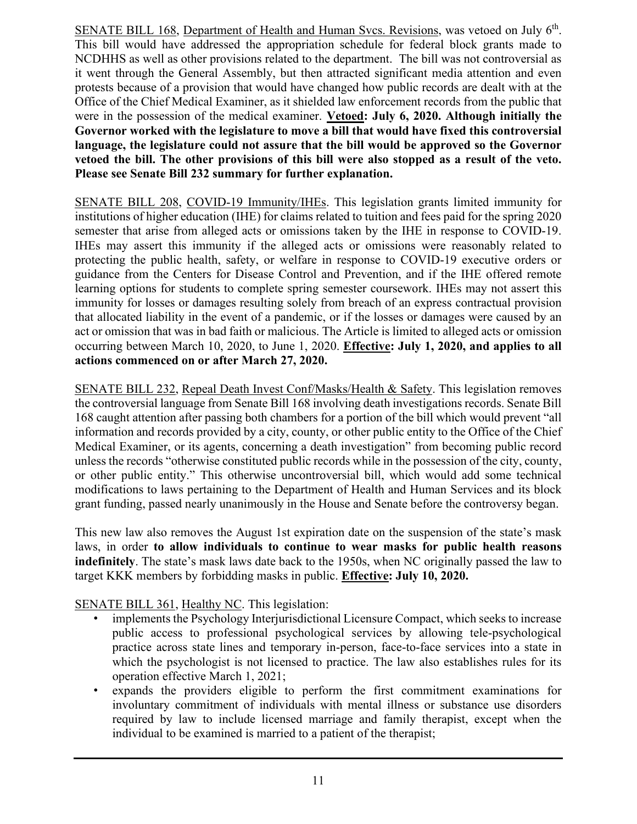SENATE BILL 168, Department of Health and Human Svcs. Revisions, was vetoed on July 6th. This bill would have addressed the appropriation schedule for federal block grants made to NCDHHS as well as other provisions related to the department. The bill was not controversial as it went through the General Assembly, but then attracted significant media attention and even protests because of a provision that would have changed how public records are dealt with at the Office of the Chief Medical Examiner, as it shielded law enforcement records from the public that were in the possession of the medical examiner. **Vetoed: July 6, 2020. Although initially the Governor worked with the legislature to move a bill that would have fixed this controversial language, the legislature could not assure that the bill would be approved so the Governor vetoed the bill. The other provisions of this bill were also stopped as a result of the veto. Please see Senate Bill 232 summary for further explanation.**

SENATE BILL 208, COVID-19 Immunity/IHEs. This legislation grants limited immunity for institutions of higher education (IHE) for claims related to tuition and fees paid for the spring 2020 semester that arise from alleged acts or omissions taken by the IHE in response to COVID-19. IHEs may assert this immunity if the alleged acts or omissions were reasonably related to protecting the public health, safety, or welfare in response to COVID-19 executive orders or guidance from the Centers for Disease Control and Prevention, and if the IHE offered remote learning options for students to complete spring semester coursework. IHEs may not assert this immunity for losses or damages resulting solely from breach of an express contractual provision that allocated liability in the event of a pandemic, or if the losses or damages were caused by an act or omission that was in bad faith or malicious. The Article is limited to alleged acts or omission occurring between March 10, 2020, to June 1, 2020. **Effective: July 1, 2020, and applies to all actions commenced on or after March 27, 2020.**

SENATE BILL 232, Repeal Death Invest Conf/Masks/Health & Safety. This legislation removes the controversial language from Senate Bill 168 involving death investigations records. Senate Bill 168 caught attention after passing both chambers for a portion of the bill which would prevent "all information and records provided by a city, county, or other public entity to the Office of the Chief Medical Examiner, or its agents, concerning a death investigation" from becoming public record unless the records "otherwise constituted public records while in the possession of the city, county, or other public entity." This otherwise uncontroversial bill, which would add some technical modifications to laws pertaining to the Department of Health and Human Services and its block grant funding, passed nearly unanimously in the House and Senate before the controversy began.

This new law also removes the August 1st expiration date on the suspension of the state's mask laws, in order **to allow individuals to continue to wear masks for public health reasons indefinitely**. The state's mask laws date back to the 1950s, when NC originally passed the law to target KKK members by forbidding masks in public. **Effective: July 10, 2020.**

SENATE BILL 361, Healthy NC. This legislation:

- implements the Psychology Interjurisdictional Licensure Compact, which seeks to increase public access to professional psychological services by allowing tele-psychological practice across state lines and temporary in-person, face-to-face services into a state in which the psychologist is not licensed to practice. The law also establishes rules for its operation effective March 1, 2021;
- expands the providers eligible to perform the first commitment examinations for involuntary commitment of individuals with mental illness or substance use disorders required by law to include licensed marriage and family therapist, except when the individual to be examined is married to a patient of the therapist;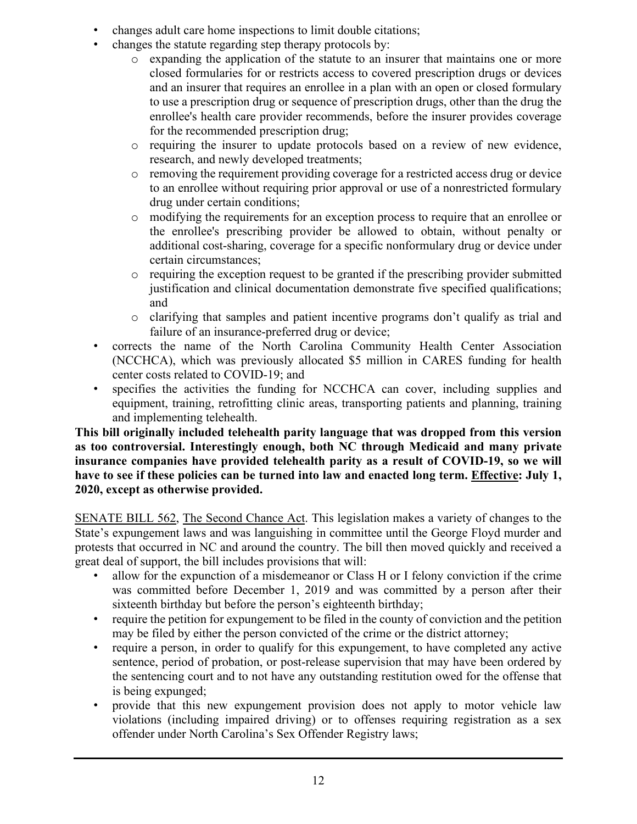- changes adult care home inspections to limit double citations;
- changes the statute regarding step therapy protocols by:
	- o expanding the application of the statute to an insurer that maintains one or more closed formularies for or restricts access to covered prescription drugs or devices and an insurer that requires an enrollee in a plan with an open or closed formulary to use a prescription drug or sequence of prescription drugs, other than the drug the enrollee's health care provider recommends, before the insurer provides coverage for the recommended prescription drug;
	- o requiring the insurer to update protocols based on a review of new evidence, research, and newly developed treatments;
	- o removing the requirement providing coverage for a restricted access drug or device to an enrollee without requiring prior approval or use of a nonrestricted formulary drug under certain conditions;
	- o modifying the requirements for an exception process to require that an enrollee or the enrollee's prescribing provider be allowed to obtain, without penalty or additional cost-sharing, coverage for a specific nonformulary drug or device under certain circumstances;
	- o requiring the exception request to be granted if the prescribing provider submitted justification and clinical documentation demonstrate five specified qualifications; and
	- o clarifying that samples and patient incentive programs don't qualify as trial and failure of an insurance-preferred drug or device;
- corrects the name of the North Carolina Community Health Center Association (NCCHCA), which was previously allocated \$5 million in CARES funding for health center costs related to COVID-19; and
- specifies the activities the funding for NCCHCA can cover, including supplies and equipment, training, retrofitting clinic areas, transporting patients and planning, training and implementing telehealth.

**This bill originally included telehealth parity language that was dropped from this version as too controversial. Interestingly enough, both NC through Medicaid and many private insurance companies have provided telehealth parity as a result of COVID-19, so we will**  have to see if these policies can be turned into law and enacted long term. Effective: July 1, **2020, except as otherwise provided.**

SENATE BILL 562, The Second Chance Act. This legislation makes a variety of changes to the State's expungement laws and was languishing in committee until the George Floyd murder and protests that occurred in NC and around the country. The bill then moved quickly and received a great deal of support, the bill includes provisions that will:

- allow for the expunction of a misdemeanor or Class H or I felony conviction if the crime was committed before December 1, 2019 and was committed by a person after their sixteenth birthday but before the person's eighteenth birthday;
- require the petition for expungement to be filed in the county of conviction and the petition may be filed by either the person convicted of the crime or the district attorney;
- require a person, in order to qualify for this expungement, to have completed any active sentence, period of probation, or post-release supervision that may have been ordered by the sentencing court and to not have any outstanding restitution owed for the offense that is being expunged;
- provide that this new expungement provision does not apply to motor vehicle law violations (including impaired driving) or to offenses requiring registration as a sex offender under North Carolina's Sex Offender Registry laws;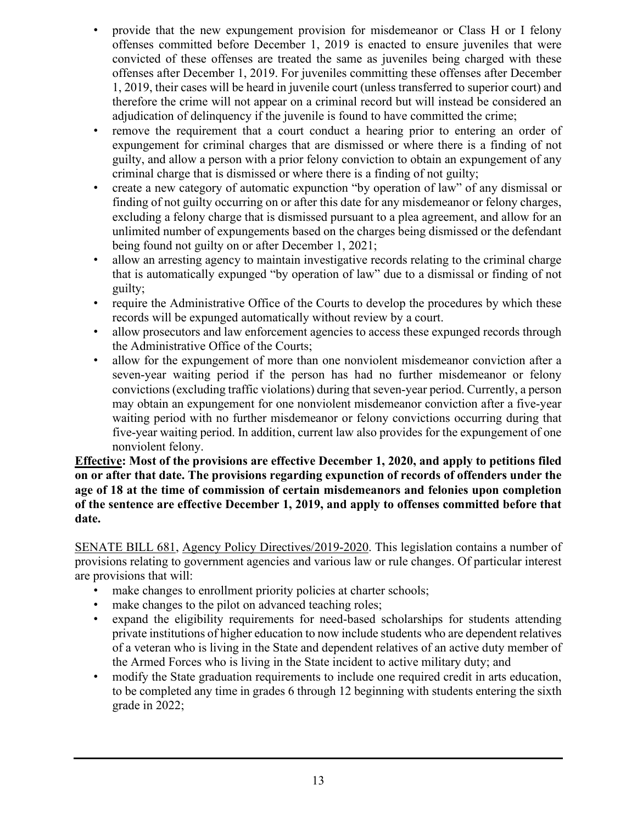- provide that the new expungement provision for misdemeanor or Class H or I felony offenses committed before December 1, 2019 is enacted to ensure juveniles that were convicted of these offenses are treated the same as juveniles being charged with these offenses after December 1, 2019. For juveniles committing these offenses after December 1, 2019, their cases will be heard in juvenile court (unless transferred to superior court) and therefore the crime will not appear on a criminal record but will instead be considered an adjudication of delinquency if the juvenile is found to have committed the crime;
- remove the requirement that a court conduct a hearing prior to entering an order of expungement for criminal charges that are dismissed or where there is a finding of not guilty, and allow a person with a prior felony conviction to obtain an expungement of any criminal charge that is dismissed or where there is a finding of not guilty;
- create a new category of automatic expunction "by operation of law" of any dismissal or finding of not guilty occurring on or after this date for any misdemeanor or felony charges, excluding a felony charge that is dismissed pursuant to a plea agreement, and allow for an unlimited number of expungements based on the charges being dismissed or the defendant being found not guilty on or after December 1, 2021;
- allow an arresting agency to maintain investigative records relating to the criminal charge that is automatically expunged "by operation of law" due to a dismissal or finding of not guilty;
- require the Administrative Office of the Courts to develop the procedures by which these records will be expunged automatically without review by a court.
- allow prosecutors and law enforcement agencies to access these expunged records through the Administrative Office of the Courts;
- allow for the expungement of more than one nonviolent misdemeanor conviction after a seven-year waiting period if the person has had no further misdemeanor or felony convictions (excluding traffic violations) during that seven-year period. Currently, a person may obtain an expungement for one nonviolent misdemeanor conviction after a five-year waiting period with no further misdemeanor or felony convictions occurring during that five-year waiting period. In addition, current law also provides for the expungement of one nonviolent felony.

**Effective: Most of the provisions are effective December 1, 2020, and apply to petitions filed on or after that date. The provisions regarding expunction of records of offenders under the age of 18 at the time of commission of certain misdemeanors and felonies upon completion of the sentence are effective December 1, 2019, and apply to offenses committed before that date.**

SENATE BILL 681, Agency Policy Directives/2019-2020. This legislation contains a number of provisions relating to government agencies and various law or rule changes. Of particular interest are provisions that will:

- make changes to enrollment priority policies at charter schools;
- make changes to the pilot on advanced teaching roles;
- expand the eligibility requirements for need-based scholarships for students attending private institutions of higher education to now include students who are dependent relatives of a veteran who is living in the State and dependent relatives of an active duty member of the Armed Forces who is living in the State incident to active military duty; and
- modify the State graduation requirements to include one required credit in arts education, to be completed any time in grades 6 through 12 beginning with students entering the sixth grade in 2022;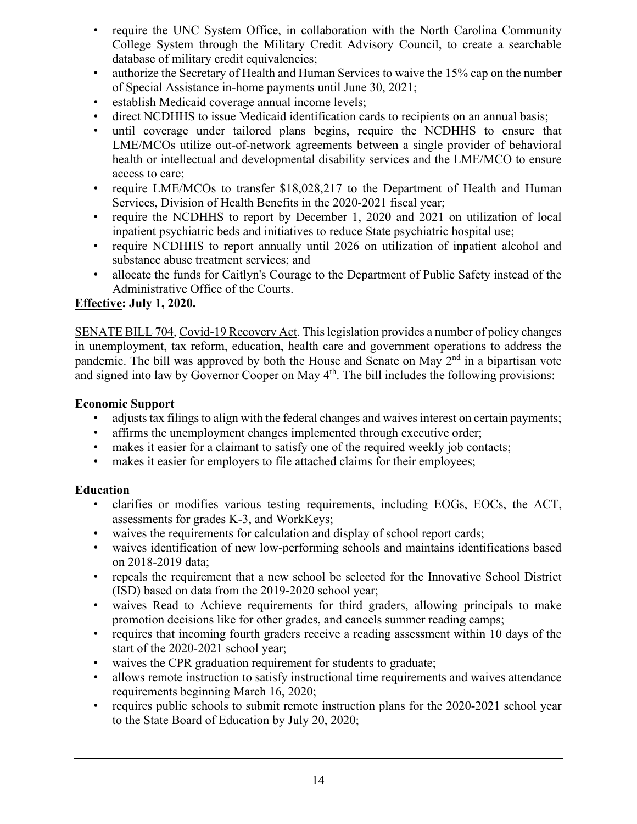- require the UNC System Office, in collaboration with the North Carolina Community College System through the Military Credit Advisory Council, to create a searchable database of military credit equivalencies;
- authorize the Secretary of Health and Human Services to waive the 15% cap on the number of Special Assistance in-home payments until June 30, 2021;
- establish Medicaid coverage annual income levels;
- direct NCDHHS to issue Medicaid identification cards to recipients on an annual basis;
- until coverage under tailored plans begins, require the NCDHHS to ensure that LME/MCOs utilize out-of-network agreements between a single provider of behavioral health or intellectual and developmental disability services and the LME/MCO to ensure access to care;
- require LME/MCOs to transfer \$18,028,217 to the Department of Health and Human Services, Division of Health Benefits in the 2020-2021 fiscal year;
- require the NCDHHS to report by December 1, 2020 and 2021 on utilization of local inpatient psychiatric beds and initiatives to reduce State psychiatric hospital use;
- require NCDHHS to report annually until 2026 on utilization of inpatient alcohol and substance abuse treatment services; and
- allocate the funds for Caitlyn's Courage to the Department of Public Safety instead of the Administrative Office of the Courts.

### **Effective: July 1, 2020.**

SENATE BILL 704, Covid-19 Recovery Act. This legislation provides a number of policy changes in unemployment, tax reform, education, health care and government operations to address the pandemic. The bill was approved by both the House and Senate on May 2<sup>nd</sup> in a bipartisan vote and signed into law by Governor Cooper on May  $4<sup>th</sup>$ . The bill includes the following provisions:

### **Economic Support**

- adjusts tax filings to align with the federal changes and waives interest on certain payments;
- affirms the unemployment changes implemented through executive order;
- makes it easier for a claimant to satisfy one of the required weekly job contacts;
- makes it easier for employers to file attached claims for their employees;

### **Education**

- clarifies or modifies various testing requirements, including EOGs, EOCs, the ACT, assessments for grades K-3, and WorkKeys;
- waives the requirements for calculation and display of school report cards;
- waives identification of new low-performing schools and maintains identifications based on 2018-2019 data;
- repeals the requirement that a new school be selected for the Innovative School District (ISD) based on data from the 2019-2020 school year;
- waives Read to Achieve requirements for third graders, allowing principals to make promotion decisions like for other grades, and cancels summer reading camps;
- requires that incoming fourth graders receive a reading assessment within 10 days of the start of the 2020-2021 school year;
- waives the CPR graduation requirement for students to graduate;
- allows remote instruction to satisfy instructional time requirements and waives attendance requirements beginning March 16, 2020;
- requires public schools to submit remote instruction plans for the 2020-2021 school year to the State Board of Education by July 20, 2020;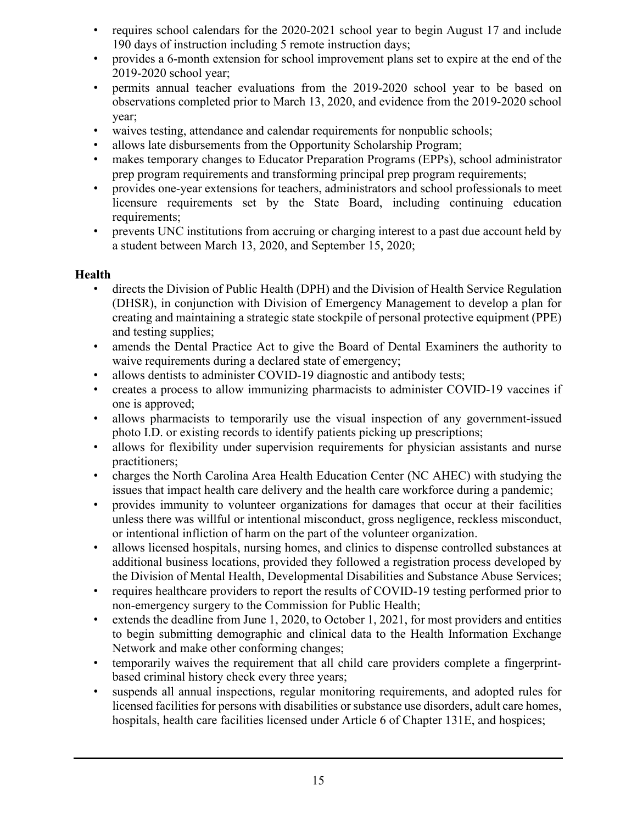- requires school calendars for the 2020-2021 school year to begin August 17 and include 190 days of instruction including 5 remote instruction days;
- provides a 6-month extension for school improvement plans set to expire at the end of the 2019-2020 school year;
- permits annual teacher evaluations from the 2019-2020 school year to be based on observations completed prior to March 13, 2020, and evidence from the 2019-2020 school year;
- waives testing, attendance and calendar requirements for nonpublic schools;
- allows late disbursements from the Opportunity Scholarship Program;
- makes temporary changes to Educator Preparation Programs (EPPs), school administrator prep program requirements and transforming principal prep program requirements;
- provides one-year extensions for teachers, administrators and school professionals to meet licensure requirements set by the State Board, including continuing education requirements;
- prevents UNC institutions from accruing or charging interest to a past due account held by a student between March 13, 2020, and September 15, 2020;

### **Health**

- directs the Division of Public Health (DPH) and the Division of Health Service Regulation (DHSR), in conjunction with Division of Emergency Management to develop a plan for creating and maintaining a strategic state stockpile of personal protective equipment (PPE) and testing supplies;
- amends the Dental Practice Act to give the Board of Dental Examiners the authority to waive requirements during a declared state of emergency;
- allows dentists to administer COVID-19 diagnostic and antibody tests;
- creates a process to allow immunizing pharmacists to administer COVID-19 vaccines if one is approved;
- allows pharmacists to temporarily use the visual inspection of any government-issued photo I.D. or existing records to identify patients picking up prescriptions;
- allows for flexibility under supervision requirements for physician assistants and nurse practitioners;
- charges the North Carolina Area Health Education Center (NC AHEC) with studying the issues that impact health care delivery and the health care workforce during a pandemic;
- provides immunity to volunteer organizations for damages that occur at their facilities unless there was willful or intentional misconduct, gross negligence, reckless misconduct, or intentional infliction of harm on the part of the volunteer organization.
- allows licensed hospitals, nursing homes, and clinics to dispense controlled substances at additional business locations, provided they followed a registration process developed by the Division of Mental Health, Developmental Disabilities and Substance Abuse Services;
- requires healthcare providers to report the results of COVID-19 testing performed prior to non-emergency surgery to the Commission for Public Health;
- extends the deadline from June 1, 2020, to October 1, 2021, for most providers and entities to begin submitting demographic and clinical data to the Health Information Exchange Network and make other conforming changes;
- temporarily waives the requirement that all child care providers complete a fingerprintbased criminal history check every three years;
- suspends all annual inspections, regular monitoring requirements, and adopted rules for licensed facilities for persons with disabilities or substance use disorders, adult care homes, hospitals, health care facilities licensed under Article 6 of Chapter 131E, and hospices;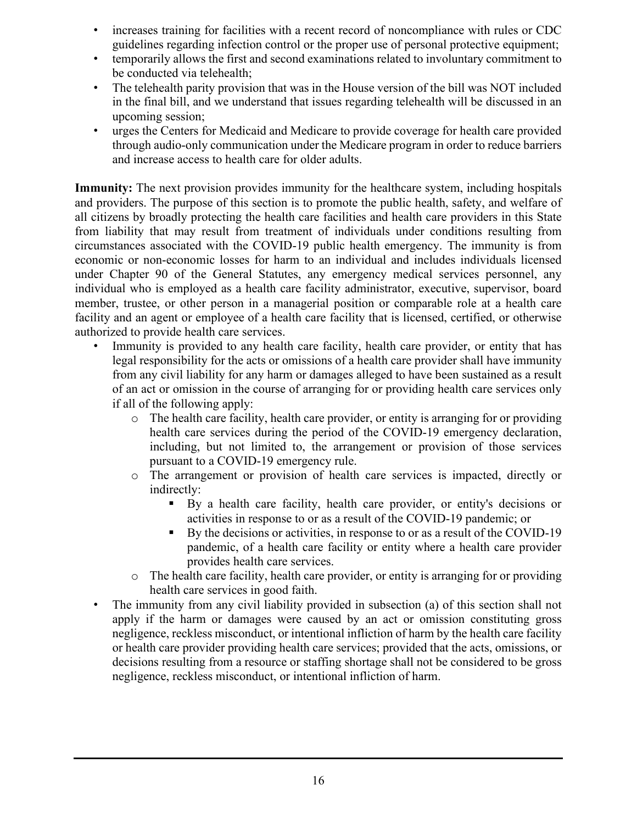- increases training for facilities with a recent record of noncompliance with rules or CDC guidelines regarding infection control or the proper use of personal protective equipment;
- temporarily allows the first and second examinations related to involuntary commitment to be conducted via telehealth;
- The telehealth parity provision that was in the House version of the bill was NOT included in the final bill, and we understand that issues regarding telehealth will be discussed in an upcoming session;
- urges the Centers for Medicaid and Medicare to provide coverage for health care provided through audio-only communication under the Medicare program in order to reduce barriers and increase access to health care for older adults.

**Immunity:** The next provision provides immunity for the healthcare system, including hospitals and providers. The purpose of this section is to promote the public health, safety, and welfare of all citizens by broadly protecting the health care facilities and health care providers in this State from liability that may result from treatment of individuals under conditions resulting from circumstances associated with the COVID-19 public health emergency. The immunity is from economic or non-economic losses for harm to an individual and includes individuals licensed under Chapter 90 of the General Statutes, any emergency medical services personnel, any individual who is employed as a health care facility administrator, executive, supervisor, board member, trustee, or other person in a managerial position or comparable role at a health care facility and an agent or employee of a health care facility that is licensed, certified, or otherwise authorized to provide health care services.

- Immunity is provided to any health care facility, health care provider, or entity that has legal responsibility for the acts or omissions of a health care provider shall have immunity from any civil liability for any harm or damages alleged to have been sustained as a result of an act or omission in the course of arranging for or providing health care services only if all of the following apply:
	- o The health care facility, health care provider, or entity is arranging for or providing health care services during the period of the COVID-19 emergency declaration, including, but not limited to, the arrangement or provision of those services pursuant to a COVID-19 emergency rule.
	- o The arrangement or provision of health care services is impacted, directly or indirectly:
		- By a health care facility, health care provider, or entity's decisions or activities in response to or as a result of the COVID-19 pandemic; or
		- By the decisions or activities, in response to or as a result of the COVID-19 pandemic, of a health care facility or entity where a health care provider provides health care services.
	- $\circ$  The health care facility, health care provider, or entity is arranging for or providing health care services in good faith.
- The immunity from any civil liability provided in subsection (a) of this section shall not apply if the harm or damages were caused by an act or omission constituting gross negligence, reckless misconduct, or intentional infliction of harm by the health care facility or health care provider providing health care services; provided that the acts, omissions, or decisions resulting from a resource or staffing shortage shall not be considered to be gross negligence, reckless misconduct, or intentional infliction of harm.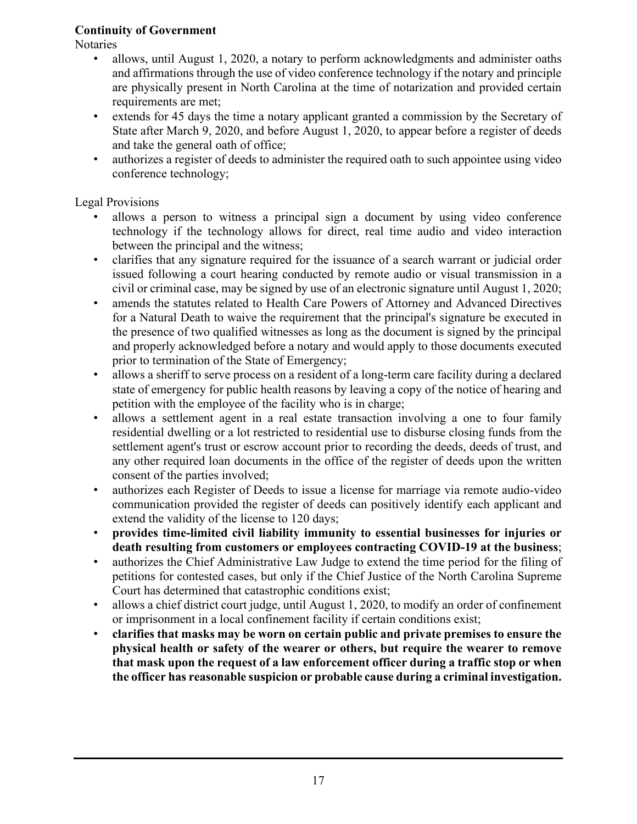### **Continuity of Government**

**Notaries** 

- allows, until August 1, 2020, a notary to perform acknowledgments and administer oaths and affirmations through the use of video conference technology if the notary and principle are physically present in North Carolina at the time of notarization and provided certain requirements are met;
- extends for 45 days the time a notary applicant granted a commission by the Secretary of State after March 9, 2020, and before August 1, 2020, to appear before a register of deeds and take the general oath of office;
- authorizes a register of deeds to administer the required oath to such appointee using video conference technology;

Legal Provisions

- allows a person to witness a principal sign a document by using video conference technology if the technology allows for direct, real time audio and video interaction between the principal and the witness;
- clarifies that any signature required for the issuance of a search warrant or judicial order issued following a court hearing conducted by remote audio or visual transmission in a civil or criminal case, may be signed by use of an electronic signature until August 1, 2020;
- amends the statutes related to Health Care Powers of Attorney and Advanced Directives for a Natural Death to waive the requirement that the principal's signature be executed in the presence of two qualified witnesses as long as the document is signed by the principal and properly acknowledged before a notary and would apply to those documents executed prior to termination of the State of Emergency;
- allows a sheriff to serve process on a resident of a long-term care facility during a declared state of emergency for public health reasons by leaving a copy of the notice of hearing and petition with the employee of the facility who is in charge;
- allows a settlement agent in a real estate transaction involving a one to four family residential dwelling or a lot restricted to residential use to disburse closing funds from the settlement agent's trust or escrow account prior to recording the deeds, deeds of trust, and any other required loan documents in the office of the register of deeds upon the written consent of the parties involved;
- authorizes each Register of Deeds to issue a license for marriage via remote audio-video communication provided the register of deeds can positively identify each applicant and extend the validity of the license to 120 days;
- **provides time-limited civil liability immunity to essential businesses for injuries or death resulting from customers or employees contracting COVID-19 at the business**;
- authorizes the Chief Administrative Law Judge to extend the time period for the filing of petitions for contested cases, but only if the Chief Justice of the North Carolina Supreme Court has determined that catastrophic conditions exist;
- allows a chief district court judge, until August 1, 2020, to modify an order of confinement or imprisonment in a local confinement facility if certain conditions exist;
- **clarifies that masks may be worn on certain public and private premises to ensure the physical health or safety of the wearer or others, but require the wearer to remove that mask upon the request of a law enforcement officer during a traffic stop or when the officer has reasonable suspicion or probable cause during a criminal investigation.**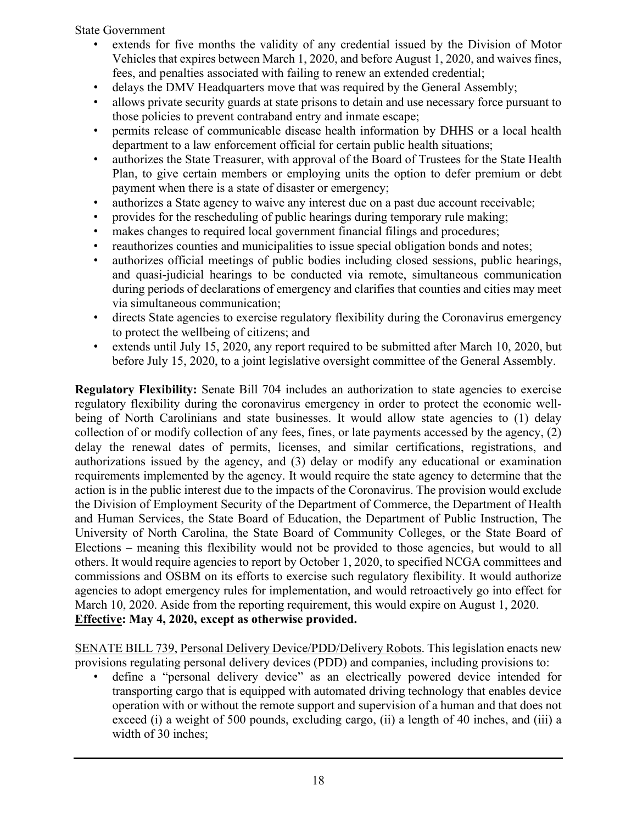State Government

- extends for five months the validity of any credential issued by the Division of Motor Vehicles that expires between March 1, 2020, and before August 1, 2020, and waives fines, fees, and penalties associated with failing to renew an extended credential;
- delays the DMV Headquarters move that was required by the General Assembly;
- allows private security guards at state prisons to detain and use necessary force pursuant to those policies to prevent contraband entry and inmate escape;
- permits release of communicable disease health information by DHHS or a local health department to a law enforcement official for certain public health situations;
- authorizes the State Treasurer, with approval of the Board of Trustees for the State Health Plan, to give certain members or employing units the option to defer premium or debt payment when there is a state of disaster or emergency;
- authorizes a State agency to waive any interest due on a past due account receivable;
- provides for the rescheduling of public hearings during temporary rule making;
- makes changes to required local government financial filings and procedures;
- reauthorizes counties and municipalities to issue special obligation bonds and notes;
- authorizes official meetings of public bodies including closed sessions, public hearings, and quasi-judicial hearings to be conducted via remote, simultaneous communication during periods of declarations of emergency and clarifies that counties and cities may meet via simultaneous communication;
- directs State agencies to exercise regulatory flexibility during the Coronavirus emergency to protect the wellbeing of citizens; and
- extends until July 15, 2020, any report required to be submitted after March 10, 2020, but before July 15, 2020, to a joint legislative oversight committee of the General Assembly.

**Regulatory Flexibility:** Senate Bill 704 includes an authorization to state agencies to exercise regulatory flexibility during the coronavirus emergency in order to protect the economic wellbeing of North Carolinians and state businesses. It would allow state agencies to (1) delay collection of or modify collection of any fees, fines, or late payments accessed by the agency, (2) delay the renewal dates of permits, licenses, and similar certifications, registrations, and authorizations issued by the agency, and (3) delay or modify any educational or examination requirements implemented by the agency. It would require the state agency to determine that the action is in the public interest due to the impacts of the Coronavirus. The provision would exclude the Division of Employment Security of the Department of Commerce, the Department of Health and Human Services, the State Board of Education, the Department of Public Instruction, The University of North Carolina, the State Board of Community Colleges, or the State Board of Elections – meaning this flexibility would not be provided to those agencies, but would to all others. It would require agencies to report by October 1, 2020, to specified NCGA committees and commissions and OSBM on its efforts to exercise such regulatory flexibility. It would authorize agencies to adopt emergency rules for implementation, and would retroactively go into effect for March 10, 2020. Aside from the reporting requirement, this would expire on August 1, 2020. **Effective: May 4, 2020, except as otherwise provided.**

SENATE BILL 739, Personal Delivery Device/PDD/Delivery Robots. This legislation enacts new provisions regulating personal delivery devices (PDD) and companies, including provisions to:

• define a "personal delivery device" as an electrically powered device intended for transporting cargo that is equipped with automated driving technology that enables device operation with or without the remote support and supervision of a human and that does not exceed (i) a weight of 500 pounds, excluding cargo, (ii) a length of 40 inches, and (iii) a width of 30 inches;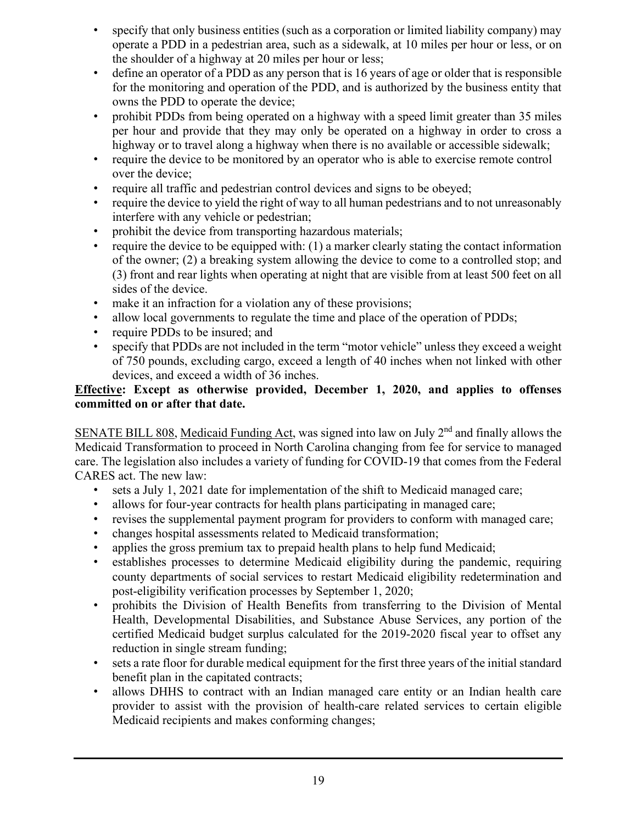- specify that only business entities (such as a corporation or limited liability company) may operate a PDD in a pedestrian area, such as a sidewalk, at 10 miles per hour or less, or on the shoulder of a highway at 20 miles per hour or less;
- define an operator of a PDD as any person that is 16 years of age or older that is responsible for the monitoring and operation of the PDD, and is authorized by the business entity that owns the PDD to operate the device;
- prohibit PDDs from being operated on a highway with a speed limit greater than 35 miles per hour and provide that they may only be operated on a highway in order to cross a highway or to travel along a highway when there is no available or accessible sidewalk;
- require the device to be monitored by an operator who is able to exercise remote control over the device;
- require all traffic and pedestrian control devices and signs to be obeyed;
- require the device to yield the right of way to all human pedestrians and to not unreasonably interfere with any vehicle or pedestrian;
- prohibit the device from transporting hazardous materials;
- require the device to be equipped with: (1) a marker clearly stating the contact information of the owner; (2) a breaking system allowing the device to come to a controlled stop; and (3) front and rear lights when operating at night that are visible from at least 500 feet on all sides of the device.
- make it an infraction for a violation any of these provisions;
- allow local governments to regulate the time and place of the operation of PDDs;
- require PDDs to be insured; and
- specify that PDDs are not included in the term "motor vehicle" unless they exceed a weight of 750 pounds, excluding cargo, exceed a length of 40 inches when not linked with other devices, and exceed a width of 36 inches.

### **Effective: Except as otherwise provided, December 1, 2020, and applies to offenses committed on or after that date.**

SENATE BILL 808, Medicaid Funding Act, was signed into law on July 2<sup>nd</sup> and finally allows the Medicaid Transformation to proceed in North Carolina changing from fee for service to managed care. The legislation also includes a variety of funding for COVID-19 that comes from the Federal CARES act. The new law:

- sets a July 1, 2021 date for implementation of the shift to Medicaid managed care;
- allows for four-year contracts for health plans participating in managed care;
- revises the supplemental payment program for providers to conform with managed care;
- changes hospital assessments related to Medicaid transformation;
- applies the gross premium tax to prepaid health plans to help fund Medicaid;
- establishes processes to determine Medicaid eligibility during the pandemic, requiring county departments of social services to restart Medicaid eligibility redetermination and post-eligibility verification processes by September 1, 2020;
- prohibits the Division of Health Benefits from transferring to the Division of Mental Health, Developmental Disabilities, and Substance Abuse Services, any portion of the certified Medicaid budget surplus calculated for the 2019-2020 fiscal year to offset any reduction in single stream funding;
- sets a rate floor for durable medical equipment for the first three years of the initial standard benefit plan in the capitated contracts;
- allows DHHS to contract with an Indian managed care entity or an Indian health care provider to assist with the provision of health-care related services to certain eligible Medicaid recipients and makes conforming changes;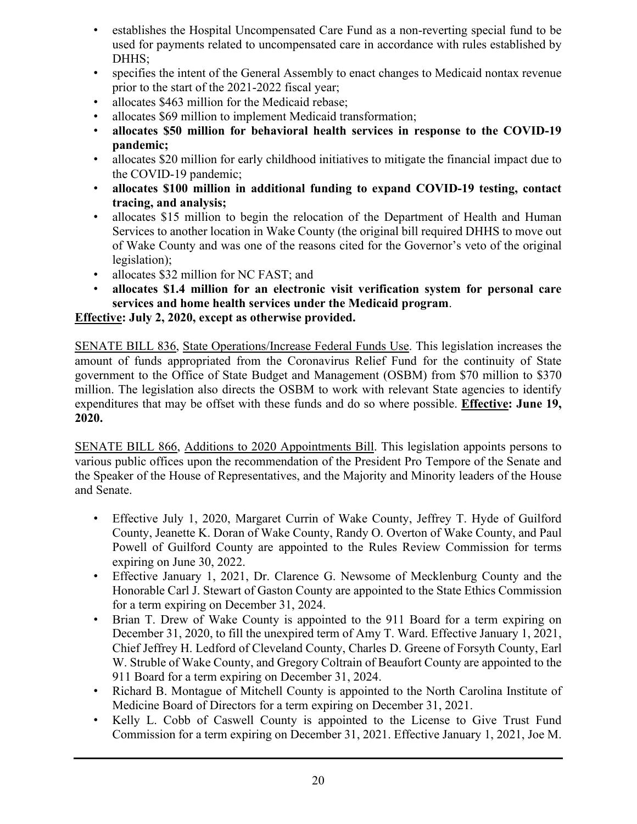- establishes the Hospital Uncompensated Care Fund as a non-reverting special fund to be used for payments related to uncompensated care in accordance with rules established by DHHS;
- specifies the intent of the General Assembly to enact changes to Medicaid nontax revenue prior to the start of the 2021-2022 fiscal year;
- allocates \$463 million for the Medicaid rebase;
- allocates \$69 million to implement Medicaid transformation;
- **allocates \$50 million for behavioral health services in response to the COVID-19 pandemic;**
- allocates \$20 million for early childhood initiatives to mitigate the financial impact due to the COVID-19 pandemic;
- **allocates \$100 million in additional funding to expand COVID-19 testing, contact tracing, and analysis;**
- allocates \$15 million to begin the relocation of the Department of Health and Human Services to another location in Wake County (the original bill required DHHS to move out of Wake County and was one of the reasons cited for the Governor's veto of the original legislation);
- allocates \$32 million for NC FAST; and
- **allocates \$1.4 million for an electronic visit verification system for personal care services and home health services under the Medicaid program**.

### **Effective: July 2, 2020, except as otherwise provided.**

SENATE BILL 836, State Operations/Increase Federal Funds Use. This legislation increases the amount of funds appropriated from the Coronavirus Relief Fund for the continuity of State government to the Office of State Budget and Management (OSBM) from \$70 million to \$370 million. The legislation also directs the OSBM to work with relevant State agencies to identify expenditures that may be offset with these funds and do so where possible. **Effective: June 19, 2020.**

SENATE BILL 866, Additions to 2020 Appointments Bill. This legislation appoints persons to various public offices upon the recommendation of the President Pro Tempore of the Senate and the Speaker of the House of Representatives, and the Majority and Minority leaders of the House and Senate.

- Effective July 1, 2020, Margaret Currin of Wake County, Jeffrey T. Hyde of Guilford County, Jeanette K. Doran of Wake County, Randy O. Overton of Wake County, and Paul Powell of Guilford County are appointed to the Rules Review Commission for terms expiring on June 30, 2022.
- Effective January 1, 2021, Dr. Clarence G. Newsome of Mecklenburg County and the Honorable Carl J. Stewart of Gaston County are appointed to the State Ethics Commission for a term expiring on December 31, 2024.
- Brian T. Drew of Wake County is appointed to the 911 Board for a term expiring on December 31, 2020, to fill the unexpired term of Amy T. Ward. Effective January 1, 2021, Chief Jeffrey H. Ledford of Cleveland County, Charles D. Greene of Forsyth County, Earl W. Struble of Wake County, and Gregory Coltrain of Beaufort County are appointed to the 911 Board for a term expiring on December 31, 2024.
- Richard B. Montague of Mitchell County is appointed to the North Carolina Institute of Medicine Board of Directors for a term expiring on December 31, 2021.
- Kelly L. Cobb of Caswell County is appointed to the License to Give Trust Fund Commission for a term expiring on December 31, 2021. Effective January 1, 2021, Joe M.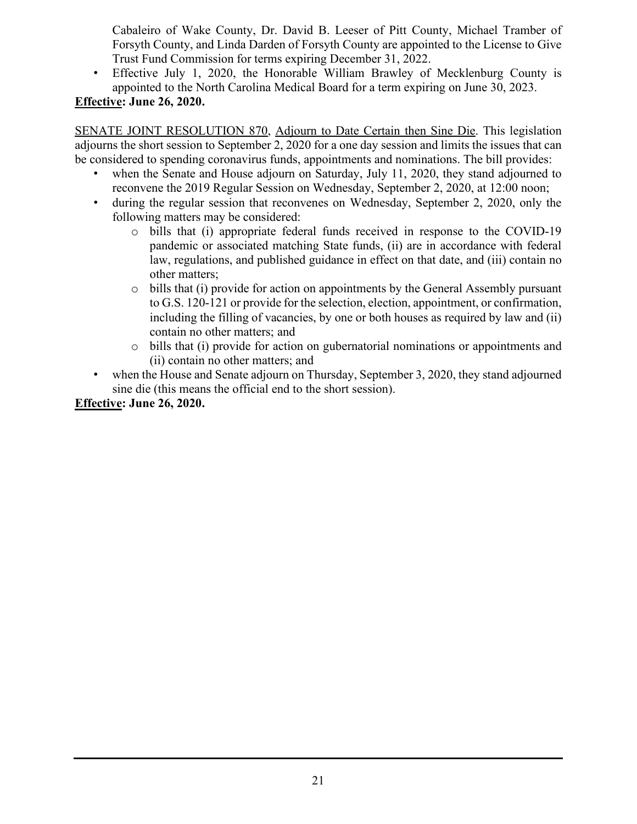Cabaleiro of Wake County, Dr. David B. Leeser of Pitt County, Michael Tramber of Forsyth County, and Linda Darden of Forsyth County are appointed to the License to Give Trust Fund Commission for terms expiring December 31, 2022.

• Effective July 1, 2020, the Honorable William Brawley of Mecklenburg County is appointed to the North Carolina Medical Board for a term expiring on June 30, 2023.

### **Effective: June 26, 2020.**

SENATE JOINT RESOLUTION 870, Adjourn to Date Certain then Sine Die. This legislation adjourns the short session to September 2, 2020 for a one day session and limits the issues that can be considered to spending coronavirus funds, appointments and nominations. The bill provides:

- when the Senate and House adjourn on Saturday, July 11, 2020, they stand adjourned to reconvene the 2019 Regular Session on Wednesday, September 2, 2020, at 12:00 noon;
- during the regular session that reconvenes on Wednesday, September 2, 2020, only the following matters may be considered:
	- o bills that (i) appropriate federal funds received in response to the COVID-19 pandemic or associated matching State funds, (ii) are in accordance with federal law, regulations, and published guidance in effect on that date, and (iii) contain no other matters;
	- $\circ$  bills that (i) provide for action on appointments by the General Assembly pursuant to G.S. 120-121 or provide for the selection, election, appointment, or confirmation, including the filling of vacancies, by one or both houses as required by law and (ii) contain no other matters; and
	- o bills that (i) provide for action on gubernatorial nominations or appointments and (ii) contain no other matters; and
- when the House and Senate adjourn on Thursday, September 3, 2020, they stand adjourned sine die (this means the official end to the short session).

### **Effective: June 26, 2020.**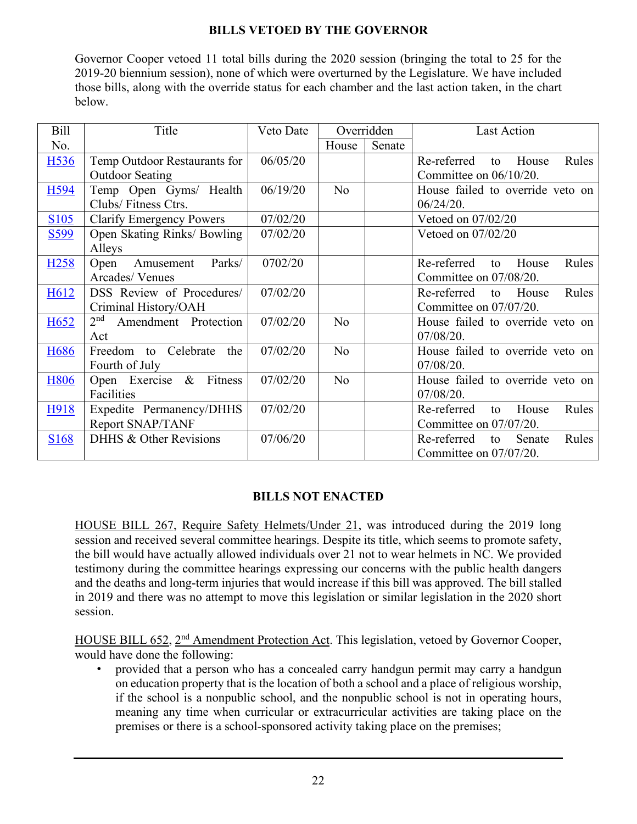### **BILLS VETOED BY THE GOVERNOR**

Governor Cooper vetoed 11 total bills during the 2020 session (bringing the total to 25 for the 2019-20 biennium session), none of which were overturned by the Legislature. We have included those bills, along with the override status for each chamber and the last action taken, in the chart below.

| <b>Bill</b>       | Title                                   | Veto Date | Overridden     |        | <b>Last Action</b>                   |
|-------------------|-----------------------------------------|-----------|----------------|--------|--------------------------------------|
| No.               |                                         |           | House          | Senate |                                      |
| H <sub>536</sub>  | Temp Outdoor Restaurants for            | 06/05/20  |                |        | Re-referred<br>House<br>Rules<br>to  |
|                   | <b>Outdoor Seating</b>                  |           |                |        | Committee on 06/10/20.               |
| H <sub>594</sub>  | Temp Open Gyms/ Health                  | 06/19/20  | N <sub>o</sub> |        | House failed to override veto on     |
|                   | Clubs/Fitness Ctrs.                     |           |                |        | 06/24/20.                            |
| S <sub>105</sub>  | <b>Clarify Emergency Powers</b>         | 07/02/20  |                |        | Vetoed on 07/02/20                   |
| S599              | Open Skating Rinks/ Bowling             | 07/02/20  |                |        | Vetoed on 07/02/20                   |
|                   | Alleys                                  |           |                |        |                                      |
| H <sub>258</sub>  | Parks/<br>Open<br>Amusement             | 0702/20   |                |        | Re-referred<br>Rules<br>House<br>to  |
|                   | Arcades/Venues                          |           |                |        | Committee on 07/08/20.               |
| H <sub>6</sub> 12 | DSS Review of Procedures/               | 07/02/20  |                |        | Re-referred to<br>House<br>Rules     |
|                   | Criminal History/OAH                    |           |                |        | Committee on $07/07/20$ .            |
| H <sub>652</sub>  | 2 <sup>nd</sup><br>Amendment Protection | 07/02/20  | N <sub>o</sub> |        | House failed to override veto on     |
|                   | Act                                     |           |                |        | 07/08/20.                            |
| H <sub>686</sub>  | Freedom to Celebrate<br>the             | 07/02/20  | N <sub>o</sub> |        | House failed to override veto on     |
|                   | Fourth of July                          |           |                |        | 07/08/20.                            |
| <b>H806</b>       | Open Exercise & Fitness                 | 07/02/20  | N <sub>o</sub> |        | House failed to override veto on     |
|                   | Facilities                              |           |                |        | 07/08/20.                            |
| H918              | Expedite Permanency/DHHS                | 07/02/20  |                |        | Re-referred<br>House<br>Rules<br>to  |
|                   | Report SNAP/TANF                        |           |                |        | Committee on $07/07/20$ .            |
| S <sub>168</sub>  | DHHS & Other Revisions                  | 07/06/20  |                |        | Rules<br>Re-referred<br>Senate<br>to |
|                   |                                         |           |                |        | Committee on $07/07/20$ .            |

### **BILLS NOT ENACTED**

HOUSE BILL 267, Require Safety Helmets/Under 21, was introduced during the 2019 long session and received several committee hearings. Despite its title, which seems to promote safety, the bill would have actually allowed individuals over 21 not to wear helmets in NC. We provided testimony during the committee hearings expressing our concerns with the public health dangers and the deaths and long-term injuries that would increase if this bill was approved. The bill stalled in 2019 and there was no attempt to move this legislation or similar legislation in the 2020 short session.

HOUSE BILL 652, 2<sup>nd</sup> Amendment Protection Act. This legislation, vetoed by Governor Cooper, would have done the following:

• provided that a person who has a concealed carry handgun permit may carry a handgun on education property that is the location of both a school and a place of religious worship, if the school is a nonpublic school, and the nonpublic school is not in operating hours, meaning any time when curricular or extracurricular activities are taking place on the premises or there is a school-sponsored activity taking place on the premises;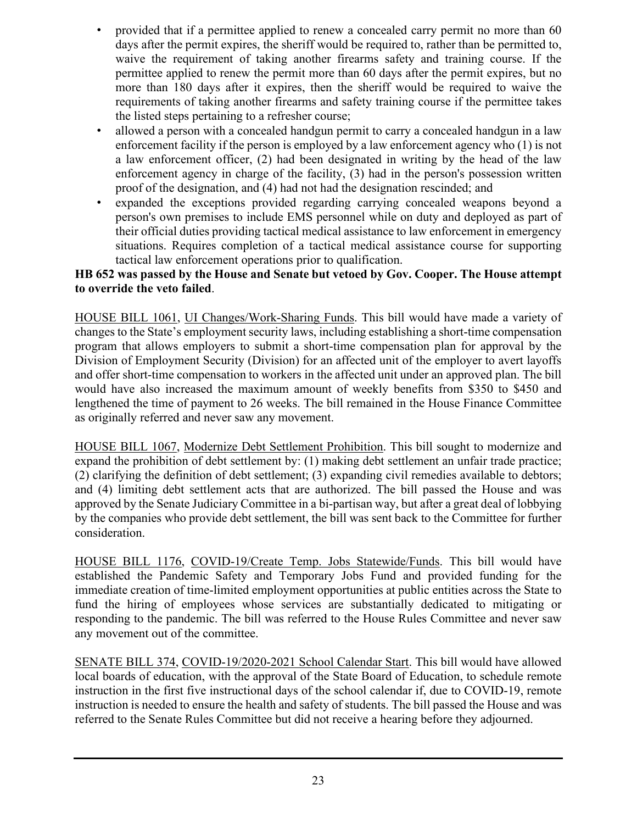- provided that if a permittee applied to renew a concealed carry permit no more than 60 days after the permit expires, the sheriff would be required to, rather than be permitted to, waive the requirement of taking another firearms safety and training course. If the permittee applied to renew the permit more than 60 days after the permit expires, but no more than 180 days after it expires, then the sheriff would be required to waive the requirements of taking another firearms and safety training course if the permittee takes the listed steps pertaining to a refresher course;
- allowed a person with a concealed handgun permit to carry a concealed handgun in a law enforcement facility if the person is employed by a law enforcement agency who (1) is not a law enforcement officer, (2) had been designated in writing by the head of the law enforcement agency in charge of the facility, (3) had in the person's possession written proof of the designation, and (4) had not had the designation rescinded; and
- expanded the exceptions provided regarding carrying concealed weapons beyond a person's own premises to include EMS personnel while on duty and deployed as part of their official duties providing tactical medical assistance to law enforcement in emergency situations. Requires completion of a tactical medical assistance course for supporting tactical law enforcement operations prior to qualification.

### **HB 652 was passed by the House and Senate but vetoed by Gov. Cooper. The House attempt to override the veto failed**.

HOUSE BILL 1061, UI Changes/Work-Sharing Funds. This bill would have made a variety of changes to the State's employment security laws, including establishing a short-time compensation program that allows employers to submit a short-time compensation plan for approval by the Division of Employment Security (Division) for an affected unit of the employer to avert layoffs and offer short-time compensation to workers in the affected unit under an approved plan. The bill would have also increased the maximum amount of weekly benefits from \$350 to \$450 and lengthened the time of payment to 26 weeks. The bill remained in the House Finance Committee as originally referred and never saw any movement.

HOUSE BILL 1067, Modernize Debt Settlement Prohibition. This bill sought to modernize and expand the prohibition of debt settlement by: (1) making debt settlement an unfair trade practice; (2) clarifying the definition of debt settlement; (3) expanding civil remedies available to debtors; and (4) limiting debt settlement acts that are authorized. The bill passed the House and was approved by the Senate Judiciary Committee in a bi-partisan way, but after a great deal of lobbying by the companies who provide debt settlement, the bill was sent back to the Committee for further consideration.

HOUSE BILL 1176, COVID-19/Create Temp. Jobs Statewide/Funds. This bill would have established the Pandemic Safety and Temporary Jobs Fund and provided funding for the immediate creation of time-limited employment opportunities at public entities across the State to fund the hiring of employees whose services are substantially dedicated to mitigating or responding to the pandemic. The bill was referred to the House Rules Committee and never saw any movement out of the committee.

SENATE BILL 374, COVID-19/2020-2021 School Calendar Start. This bill would have allowed local boards of education, with the approval of the State Board of Education, to schedule remote instruction in the first five instructional days of the school calendar if, due to COVID-19, remote instruction is needed to ensure the health and safety of students. The bill passed the House and was referred to the Senate Rules Committee but did not receive a hearing before they adjourned.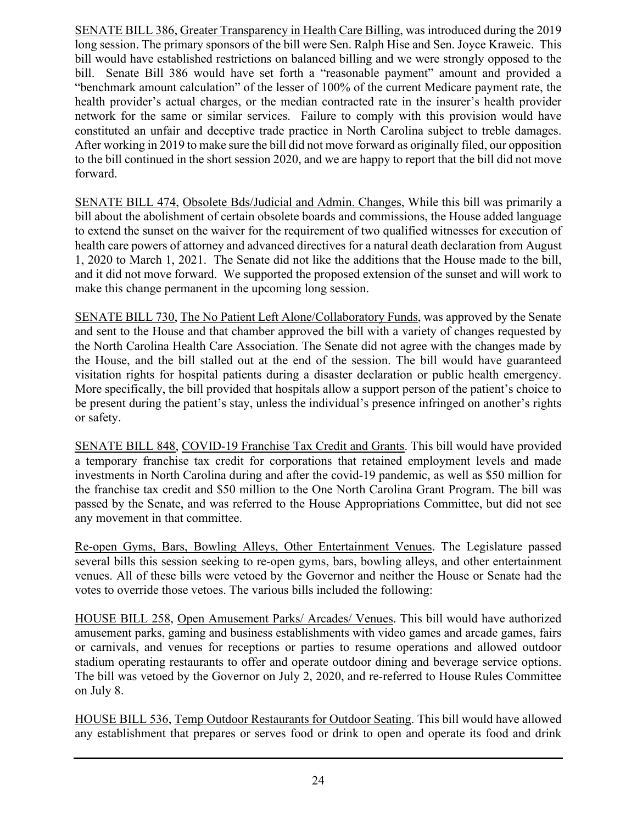SENATE BILL 386, Greater Transparency in Health Care Billing, was introduced during the 2019 long session. The primary sponsors of the bill were Sen. Ralph Hise and Sen. Joyce Kraweic. This bill would have established restrictions on balanced billing and we were strongly opposed to the bill. Senate Bill 386 would have set forth a "reasonable payment" amount and provided a "benchmark amount calculation" of the lesser of 100% of the current Medicare payment rate, the health provider's actual charges, or the median contracted rate in the insurer's health provider network for the same or similar services. Failure to comply with this provision would have constituted an unfair and deceptive trade practice in North Carolina subject to treble damages. After working in 2019 to make sure the bill did not move forward as originally filed, our opposition to the bill continued in the short session 2020, and we are happy to report that the bill did not move forward.

SENATE BILL 474, Obsolete Bds/Judicial and Admin. Changes, While this bill was primarily a bill about the abolishment of certain obsolete boards and commissions, the House added language to extend the sunset on the waiver for the requirement of two qualified witnesses for execution of health care powers of attorney and advanced directives for a natural death declaration from August 1, 2020 to March 1, 2021. The Senate did not like the additions that the House made to the bill, and it did not move forward. We supported the proposed extension of the sunset and will work to make this change permanent in the upcoming long session.

SENATE BILL 730, The No Patient Left Alone/Collaboratory Funds, was approved by the Senate and sent to the House and that chamber approved the bill with a variety of changes requested by the North Carolina Health Care Association. The Senate did not agree with the changes made by the House, and the bill stalled out at the end of the session. The bill would have guaranteed visitation rights for hospital patients during a disaster declaration or public health emergency. More specifically, the bill provided that hospitals allow a support person of the patient's choice to be present during the patient's stay, unless the individual's presence infringed on another's rights or safety.

SENATE BILL 848, COVID-19 Franchise Tax Credit and Grants. This bill would have provided a temporary franchise tax credit for corporations that retained employment levels and made investments in North Carolina during and after the covid-19 pandemic, as well as \$50 million for the franchise tax credit and \$50 million to the One North Carolina Grant Program. The bill was passed by the Senate, and was referred to the House Appropriations Committee, but did not see any movement in that committee.

Re-open Gyms, Bars, Bowling Alleys, Other Entertainment Venues. The Legislature passed several bills this session seeking to re-open gyms, bars, bowling alleys, and other entertainment venues. All of these bills were vetoed by the Governor and neither the House or Senate had the votes to override those vetoes. The various bills included the following:

HOUSE BILL 258, Open Amusement Parks/ Arcades/ Venues. This bill would have authorized amusement parks, gaming and business establishments with video games and arcade games, fairs or carnivals, and venues for receptions or parties to resume operations and allowed outdoor stadium operating restaurants to offer and operate outdoor dining and beverage service options. The bill was vetoed by the Governor on July 2, 2020, and re-referred to House Rules Committee on July 8.

HOUSE BILL 536, Temp Outdoor Restaurants for Outdoor Seating. This bill would have allowed any establishment that prepares or serves food or drink to open and operate its food and drink